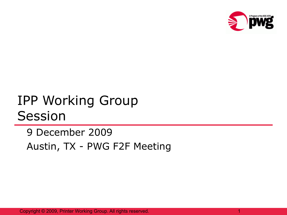

## IPP Working Group Session

9 December 2009 Austin, TX - PWG F2F Meeting

Copyright © 2009, Printer Working Group. All rights reserved. 1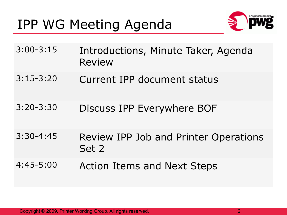### IPP WG Meeting Agenda



- 3:00-3:15 Introductions, Minute Taker, Agenda Review
- 3:15-3:20 Current IPP document status
- 3:20-3:30 Discuss IPP Everywhere BOF
- 3:30-4:45 Review IPP Job and Printer Operations Set 2
- 4:45-5:00 Action Items and Next Steps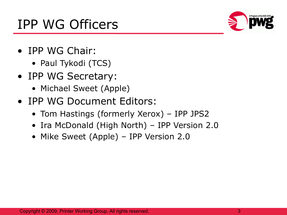### IPP WG Officers

- IPP WG Chair:
	- Paul Tykodi (TCS)
- IPP WG Secretary:
	- Michael Sweet (Apple)
- IPP WG Document Editors:
	- Tom Hastings (formerly Xerox) IPP JPS2
	- Ira McDonald (High North) IPP Version 2.0
	- Mike Sweet (Apple) IPP Version 2.0

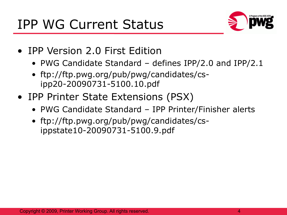

- IPP Version 2.0 First Edition
	- PWG Candidate Standard defines IPP/2.0 and IPP/2.1
	- ftp://ftp.pwg.org/pub/pwg/candidates/csipp20-20090731-5100.10.pdf
- IPP Printer State Extensions (PSX)
	- PWG Candidate Standard IPP Printer/Finisher alerts
	- ftp://ftp.pwg.org/pub/pwg/candidates/csippstate10-20090731-5100.9.pdf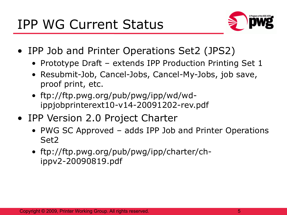

- IPP Job and Printer Operations Set2 (JPS2)
	- Prototype Draft extends IPP Production Printing Set 1
	- Resubmit-Job, Cancel-Jobs, Cancel-My-Jobs, job save, proof print, etc.
	- ftp://ftp.pwg.org/pub/pwg/ipp/wd/wdippjobprinterext10-v14-20091202-rev.pdf
- IPP Version 2.0 Project Charter
	- PWG SC Approved adds IPP Job and Printer Operations Set2
	- ftp://ftp.pwg.org/pub/pwg/ipp/charter/chippv2-20090819.pdf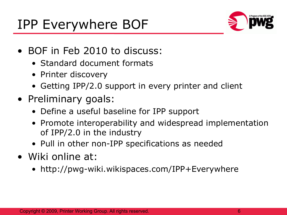## IPP Everywhere BOF



- BOF in Feb 2010 to discuss:
	- Standard document formats
	- Printer discovery
	- Getting IPP/2.0 support in every printer and client
- Preliminary goals:
	- Define a useful baseline for IPP support
	- Promote interoperability and widespread implementation of IPP/2.0 in the industry
	- Pull in other non-IPP specifications as needed
- Wiki online at:
	- http://pwg-wiki.wikispaces.com/IPP+Everywhere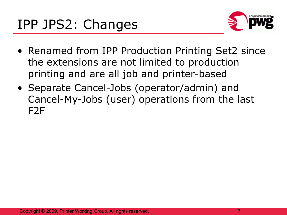

- Renamed from IPP Production Printing Set2 since the extensions are not limited to production printing and are all job and printer-based
- Separate Cancel-Jobs (operator/admin) and Cancel-My-Jobs (user) operations from the last F2F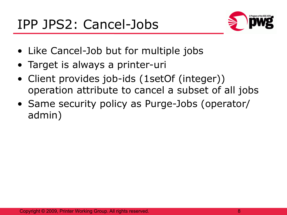

- Like Cancel-Job but for multiple jobs
- Target is always a printer-uri
- Client provides job-ids (1setOf (integer)) operation attribute to cancel a subset of all jobs
- Same security policy as Purge-Jobs (operator/ admin)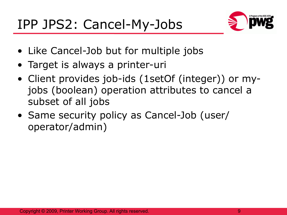

- Like Cancel-Job but for multiple jobs
- Target is always a printer-uri
- Client provides job-ids (1setOf (integer)) or myjobs (boolean) operation attributes to cancel a subset of all jobs
- Same security policy as Cancel-Job (user/ operator/admin)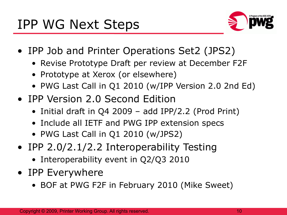

- IPP Job and Printer Operations Set2 (JPS2)
	- Revise Prototype Draft per review at December F2F
	- Prototype at Xerox (or elsewhere)
	- PWG Last Call in Q1 2010 (w/IPP Version 2.0 2nd Ed)
- IPP Version 2.0 Second Edition
	- Initial draft in Q4 2009 add IPP/2.2 (Prod Print)
	- Include all IETF and PWG IPP extension specs
	- PWG Last Call in Q1 2010 (w/JPS2)
- IPP 2.0/2.1/2.2 Interoperability Testing
	- Interoperability event in Q2/Q3 2010
- IPP Everywhere
	- BOF at PWG F2F in February 2010 (Mike Sweet)